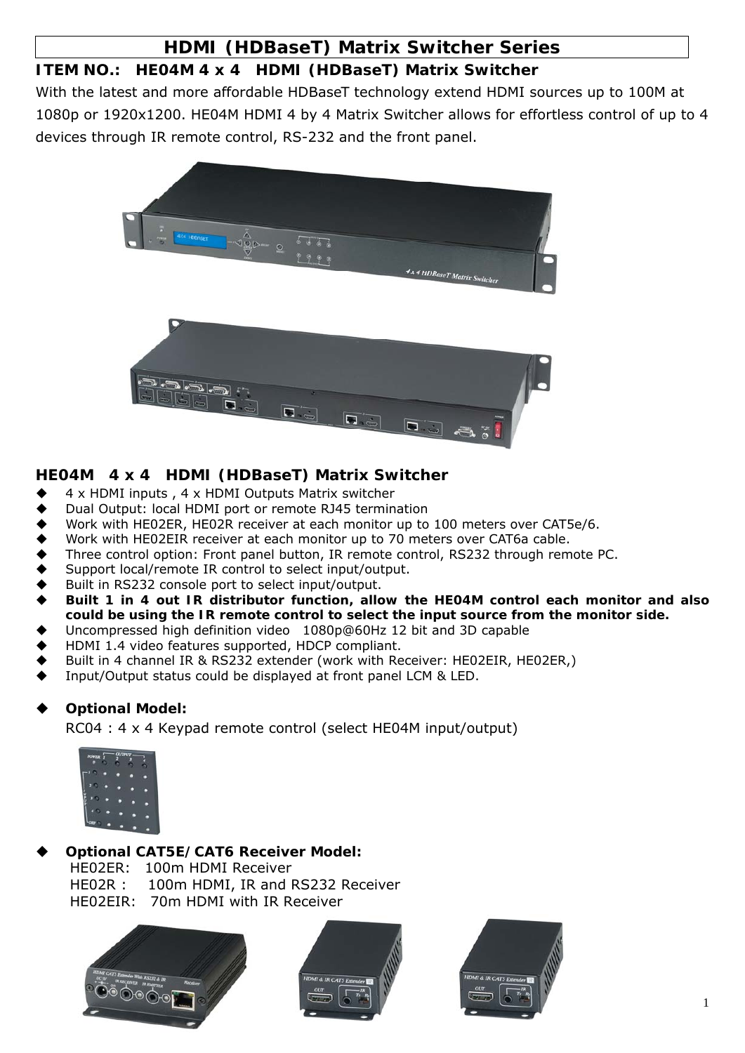## **HDMI (HDBaseT) Matrix Switcher Series**

## **ITEM NO.: HE04M 4 x 4 HDMI (HDBaseT) Matrix Switcher**

With the latest and more affordable HDBaseT technology extend HDMI sources up to 100M at 1080p or 1920x1200. HE04M HDMI 4 by 4 Matrix Switcher allows for effortless control of up to 4 devices through IR remote control, RS-232 and the front panel.



## **HE04M 4 x 4 HDMI (HDBaseT) Matrix Switcher**

- 4 x HDMI inputs , 4 x HDMI Outputs Matrix switcher
- Dual Output: local HDMI port or remote RJ45 termination
- Work with HE02ER, HE02R receiver at each monitor up to 100 meters over CAT5e/6.
- Work with HE02EIR receiver at each monitor up to 70 meters over CAT6a cable.
- Three control option: Front panel button, IR remote control, RS232 through remote PC.
- Support local/remote IR control to select input/output.
- Built in RS232 console port to select input/output.
- **Built 1 in 4 out IR distributor function, allow the HE04M control each monitor and also could be using the IR remote control to select the input source from the monitor side.**
- Uncompressed high definition video 1080p@60Hz 12 bit and 3D capable
- HDMI 1.4 video features supported, HDCP compliant.
- Built in 4 channel IR & RS232 extender (work with Receiver: HE02EIR, HE02ER,)
- Input/Output status could be displayed at front panel LCM & LED.

## **Optional Model:**

RC04 : 4 x 4 Keypad remote control (select HE04M input/output)



# **Optional CAT5E/CAT6 Receiver Model:**

HE02ER: 100m HDMI Receiver HE02R : 100m HDMI, IR and RS232 Receiver HE02EIR: 70m HDMI with IR Receiver





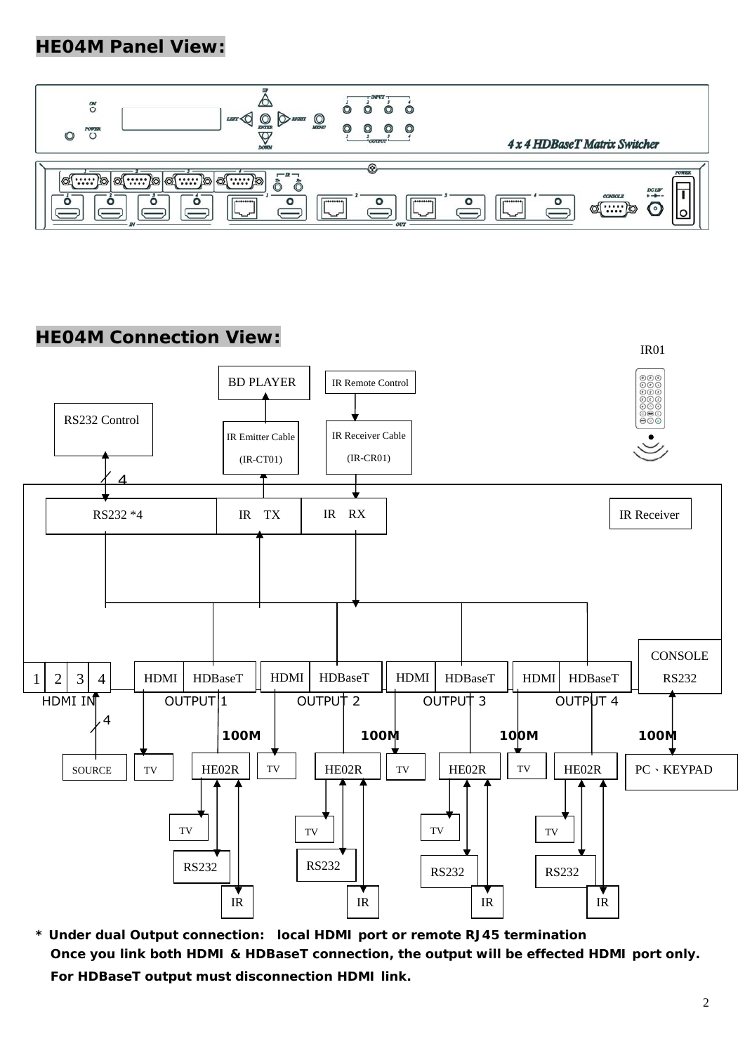## **HE04M Panel View:**



## **HE04M Connection View:**



**\* Under dual Output connection: local HDMI port or remote RJ45 termination Once you link both HDMI & HDBaseT connection, the output will be effected HDMI port only. For HDBaseT output must disconnection HDMI link.**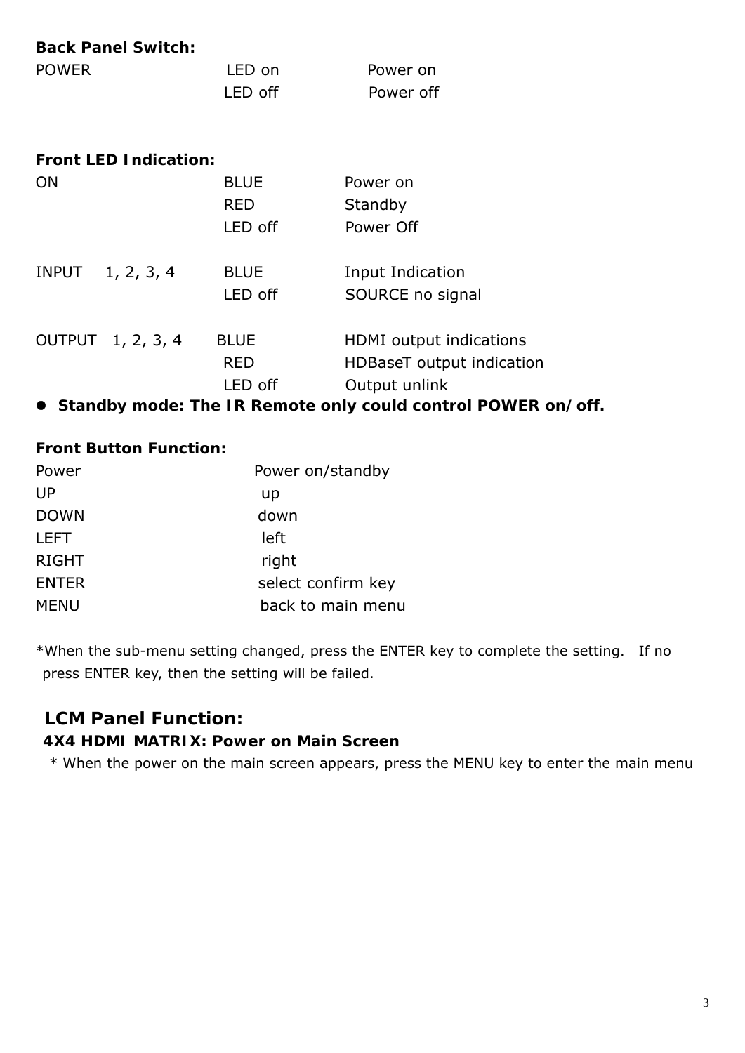| <b>Back Panel Switch:</b>    |             |                           |
|------------------------------|-------------|---------------------------|
| <b>POWER</b>                 | LED on      | Power on                  |
|                              | LED off     | Power off                 |
| <b>Front LED Indication:</b> |             |                           |
| <b>ON</b>                    | <b>BLUE</b> | Power on                  |
|                              | <b>RED</b>  | Standby                   |
|                              | LED off     | Power Off                 |
| INPUT 1, 2, 3, 4             | <b>BLUE</b> | Input Indication          |
|                              | LED off     | SOURCE no signal          |
| OUTPUT 1, 2, 3, 4            | <b>BLUE</b> | HDMI output indications   |
|                              | <b>RED</b>  | HDBaseT output indication |
|                              | LED off     | Output unlink             |
| --                           | .           |                           |

**Standby mode: The IR Remote only could control POWER on/off.** 

#### **Front Button Function:**

| Power        | Power on/standby   |
|--------------|--------------------|
| UP           | up                 |
| <b>DOWN</b>  | down               |
| <b>LEFT</b>  | left               |
| <b>RIGHT</b> | right              |
| <b>ENTER</b> | select confirm key |
| <b>MENU</b>  | back to main menu  |

\*When the sub-menu setting changed, press the ENTER key to complete the setting. If no press ENTER key, then the setting will be failed.

## **LCM Panel Function:**

#### **4X4 HDMI MATRIX: Power on Main Screen**

\* When the power on the main screen appears, press the MENU key to enter the main menu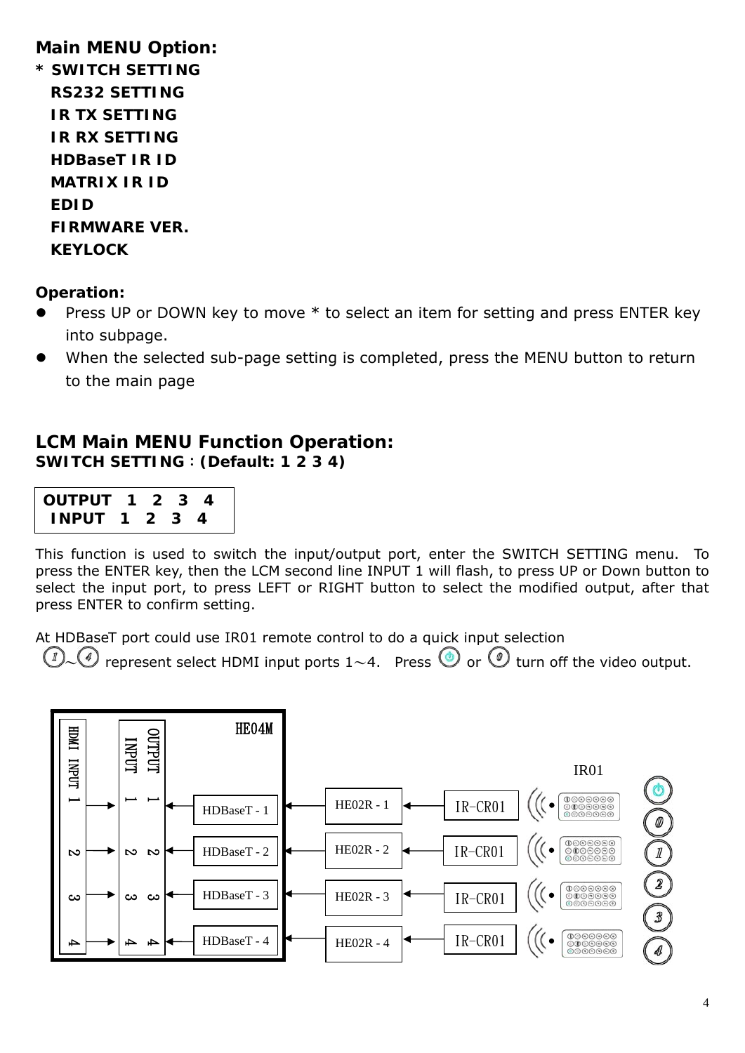## **Main MENU Option:**

| * | <b>SWITCH SETTING</b> |
|---|-----------------------|
|   | RS232 SETTING         |
|   | IR TX SETTING         |
|   | <b>IR RX SETTING</b>  |
|   | HDBaseT IR ID         |
|   | MATRIX IR ID          |
|   | FDID                  |
|   | FIRMWARF VFR.         |
|   | <b>KEYLOCK</b>        |

### **Operation:**

- Press UP or DOWN key to move  $*$  to select an item for setting and press ENTER key into subpage.
- When the selected sub-page setting is completed, press the MENU button to return to the main page

## **LCM Main MENU Function Operation: SWITCH SETTING**:**(Default: 1 2 3 4)**

| <b>OUTPUT 1 2 3 4</b> |  |  |  |
|-----------------------|--|--|--|
| <b>INPUT 1 2 3 4</b>  |  |  |  |

This function is used to switch the input/output port, enter the SWITCH SETTING menu. To press the ENTER key, then the LCM second line INPUT 1 will flash, to press UP or Down button to select the input port, to press LEFT or RIGHT button to select the modified output, after that press ENTER to confirm setting.

At HDBaseT port could use IR01 remote control to do a quick input selection

 $\mathbb{Z}_{\sim}$  represent select HDMI input ports 1~4. Press  $\bullet$  or  $\bullet$  turn off the video output.

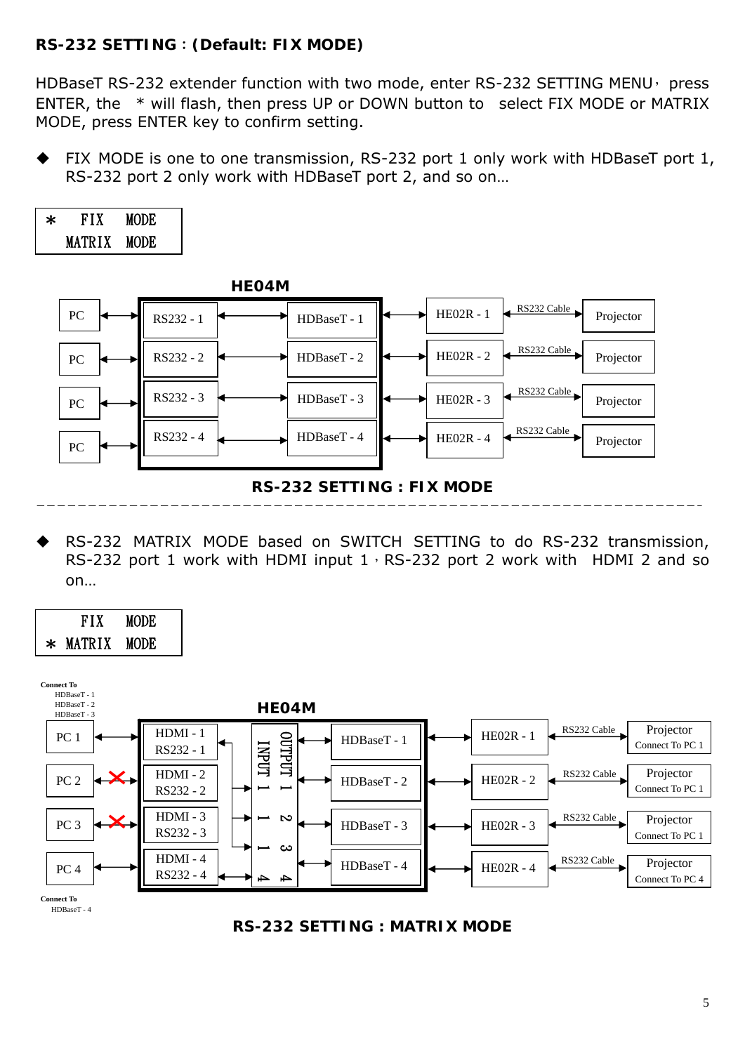## **RS-232 SETTING**:**(Default: FIX MODE)**

HDBaseT RS-232 extender function with two mode, enter RS-232 SETTING MENU, press ENTER, the \* will flash, then press UP or DOWN button to select FIX MODE or MATRIX MODE, press ENTER key to confirm setting.

FIX MODE is one to one transmission, RS-232 port 1 only work with HDBaseT port 1, RS-232 port 2 only work with HDBaseT port 2, and so on…

| $\ast$ | FIX    | <b>MODE</b> |  |
|--------|--------|-------------|--|
|        | MATRIX | <b>MODE</b> |  |



 RS-232 MATRIX MODE based on SWITCH SETTING to do RS-232 transmission, RS-232 port 1 work with HDMI input  $1 \cdot RS-232$  port 2 work with HDMI 2 and so on…





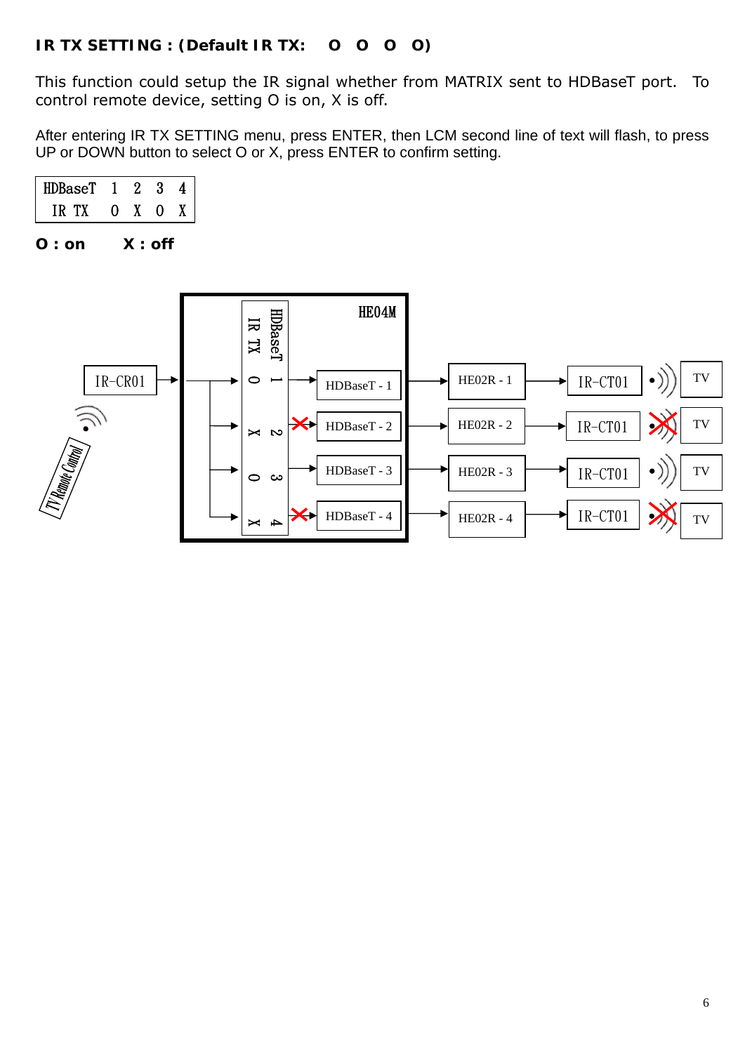## **IR TX SETTING : (Default IR TX: O O O O)**

This function could setup the IR signal whether from MATRIX sent to HDBaseT port. To control remote device, setting O is on, X is off.

After entering IR TX SETTING menu, press ENTER, then LCM second line of text will flash, to press UP or DOWN button to select O or X, press ENTER to confirm setting.

| HDBaseT      |   | <u>י</u> | 3 |  |
|--------------|---|----------|---|--|
| TX.<br>1 K . | 0 | X.       | 0 |  |
|              |   |          |   |  |

**O : on X : off** 

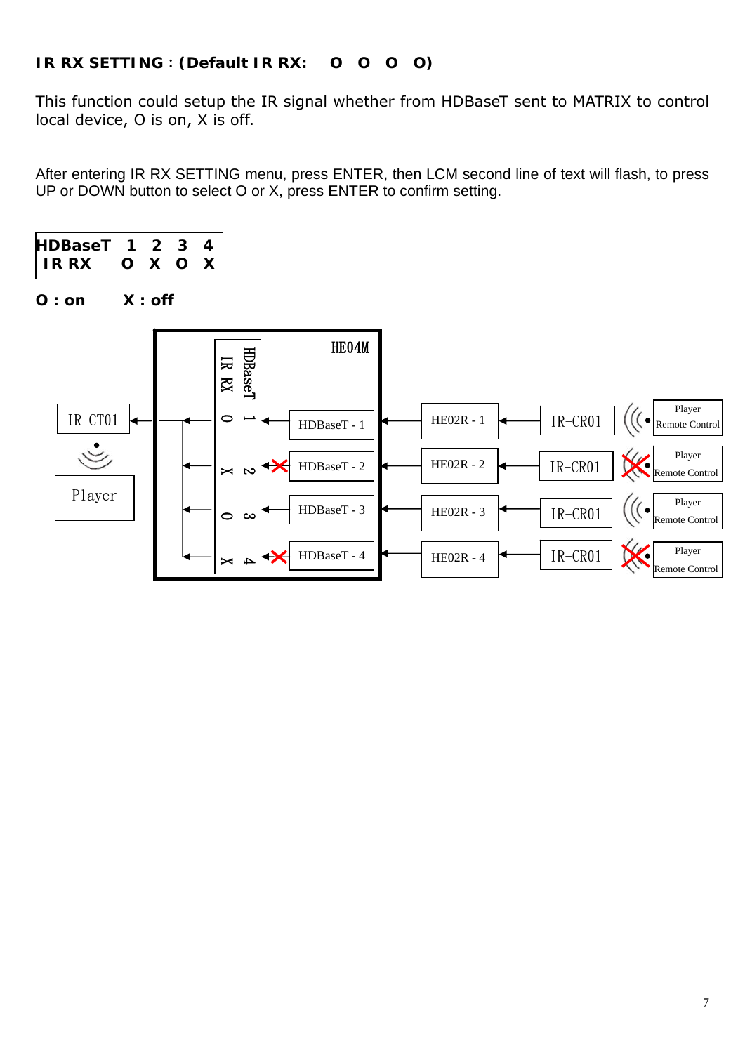## **IR RX SETTING**:**(Default IR RX: O O O O)**

This function could setup the IR signal whether from HDBaseT sent to MATRIX to control local device, O is on, X is off.

After entering IR RX SETTING menu, press ENTER, then LCM second line of text will flash, to press UP or DOWN button to select O or X, press ENTER to confirm setting.



**O : on X : off** 

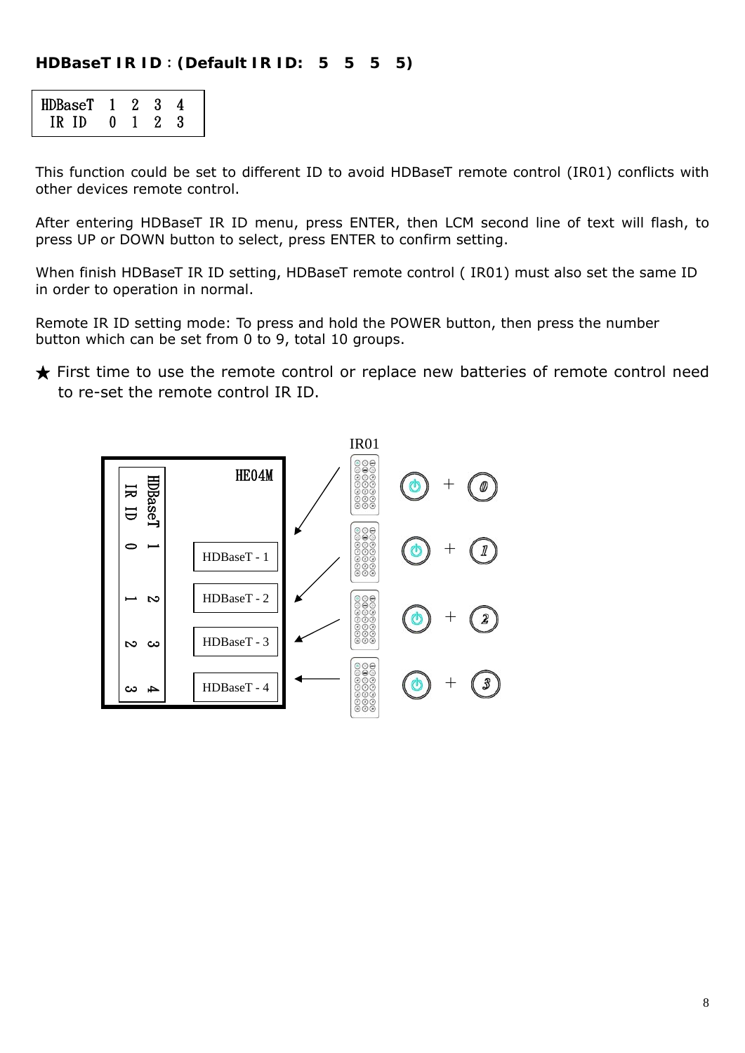#### **HDBaseT IR ID**:**(Default IR ID: 5 5 5 5)**

| $HDBaseT$ 1 2 3 |   |              |  |  |
|-----------------|---|--------------|--|--|
| IR ID           | 0 | $\mathbf{1}$ |  |  |

This function could be set to different ID to avoid HDBaseT remote control (IR01) conflicts with other devices remote control.

After entering HDBaseT IR ID menu, press ENTER, then LCM second line of text will flash, to press UP or DOWN button to select, press ENTER to confirm setting.

When finish HDBaseT IR ID setting, HDBaseT remote control ( IR01) must also set the same ID in order to operation in normal.

Remote IR ID setting mode: To press and hold the POWER button, then press the number button which can be set from 0 to 9, total 10 groups.

★ First time to use the remote control or replace new batteries of remote control need to re-set the remote control IR ID.

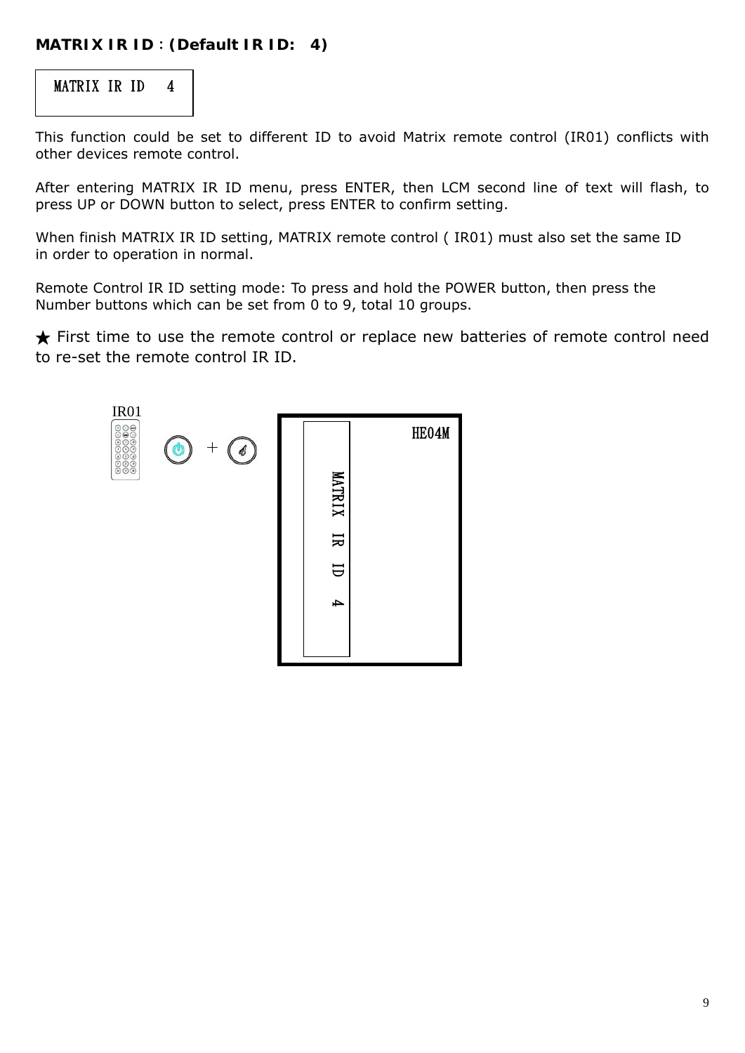### **MATRIX IR ID**:**(Default IR ID: 4)**



This function could be set to different ID to avoid Matrix remote control (IR01) conflicts with other devices remote control.

After entering MATRIX IR ID menu, press ENTER, then LCM second line of text will flash, to press UP or DOWN button to select, press ENTER to confirm setting.

When finish MATRIX IR ID setting, MATRIX remote control ( IR01) must also set the same ID in order to operation in normal.

Remote Control IR ID setting mode: To press and hold the POWER button, then press the Number buttons which can be set from 0 to 9, total 10 groups.

★ First time to use the remote control or replace new batteries of remote control need to re-set the remote control IR ID.

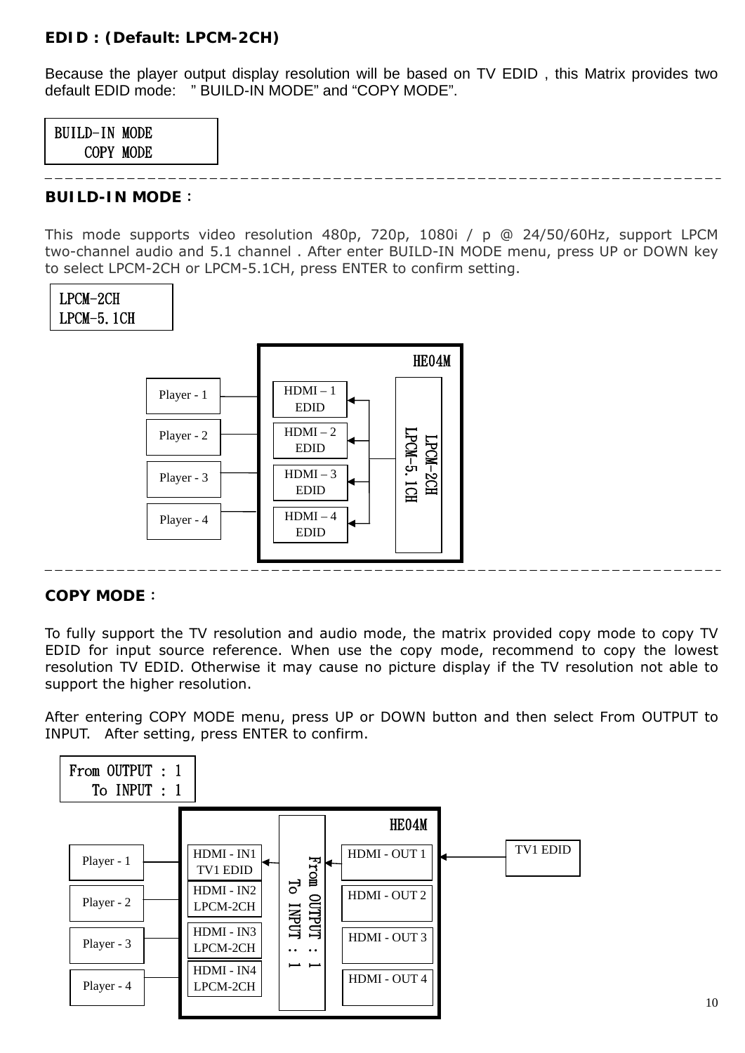#### **EDID : (Default: LPCM-2CH)**

Because the player output display resolution will be based on TV EDID , this Matrix provides two default EDID mode: " BUILD-IN MODE" and "COPY MODE".



#### **BUILD-IN MODE**:

This mode supports video resolution 480p, 720p, 1080i / p @ 24/50/60Hz, support LPCM two-channel audio and 5.1 channel . After enter BUILD-IN MODE menu, press UP or DOWN key to select LPCM-2CH or LPCM-5.1CH, press ENTER to confirm setting.



#### **COPY MODE**:

To fully support the TV resolution and audio mode, the matrix provided copy mode to copy TV EDID for input source reference. When use the copy mode, recommend to copy the lowest resolution TV EDID. Otherwise it may cause no picture display if the TV resolution not able to support the higher resolution.

After entering COPY MODE menu, press UP or DOWN button and then select From OUTPUT to INPUT. After setting, press ENTER to confirm.

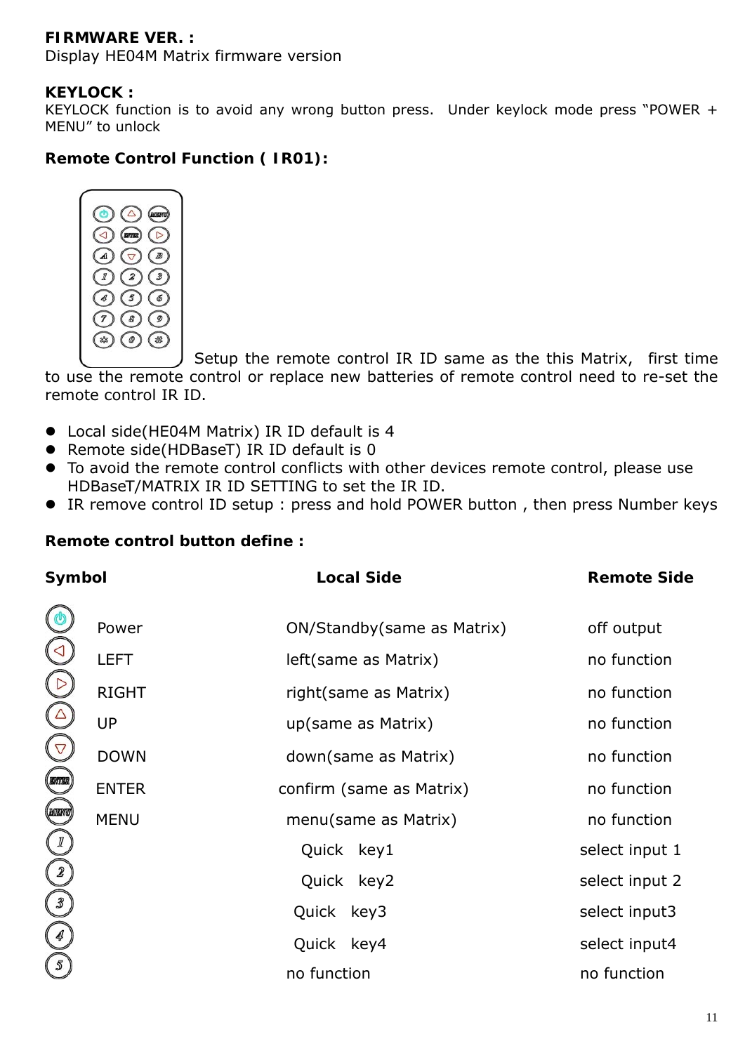## **FIRMWARE VER. :**

Display HE04M Matrix firmware version

#### **KEYLOCK :**

KEYLOCK function is to avoid any wrong button press. Under keylock mode press "POWER + MENU" to unlock

## **Remote Control Function ( IR01):**



Setup the remote control IR ID same as the this Matrix, first time to use the remote control or replace new batteries of remote control need to re-set the remote control IR ID.

- Local side(HE04M Matrix) IR ID default is 4
- Remote side(HDBaseT) IR ID default is 0
- $\bullet$  To avoid the remote control conflicts with other devices remote control, please use HDBaseT/MATRIX IR ID SETTING to set the IR ID.
- IR remove control ID setup : press and hold POWER button , then press Number keys

| Symbol           |              | <b>Local Side</b>           | <b>Remote Side</b> |
|------------------|--------------|-----------------------------|--------------------|
| O                | Power        | ON/Standby (same as Matrix) | off output         |
|                  | <b>LEFT</b>  | left(same as Matrix)        | no function        |
|                  | <b>RIGHT</b> | right (same as Matrix)      | no function        |
|                  | <b>UP</b>    | up(same as Matrix)          | no function        |
|                  | <b>DOWN</b>  | down(same as Matrix)        | no function        |
| $\mathbb{R}^{n}$ | <b>ENTER</b> | confirm (same as Matrix)    | no function        |
| <b>MIKN</b>      | <b>MENU</b>  | menu(same as Matrix)        | no function        |
|                  |              | Quick key1                  | select input 1     |
|                  |              | Quick key2                  | select input 2     |
|                  |              | Quick key3                  | select input3      |
|                  |              | Quick key4                  | select input4      |
|                  |              | no function                 | no function        |

### **Remote control button define :**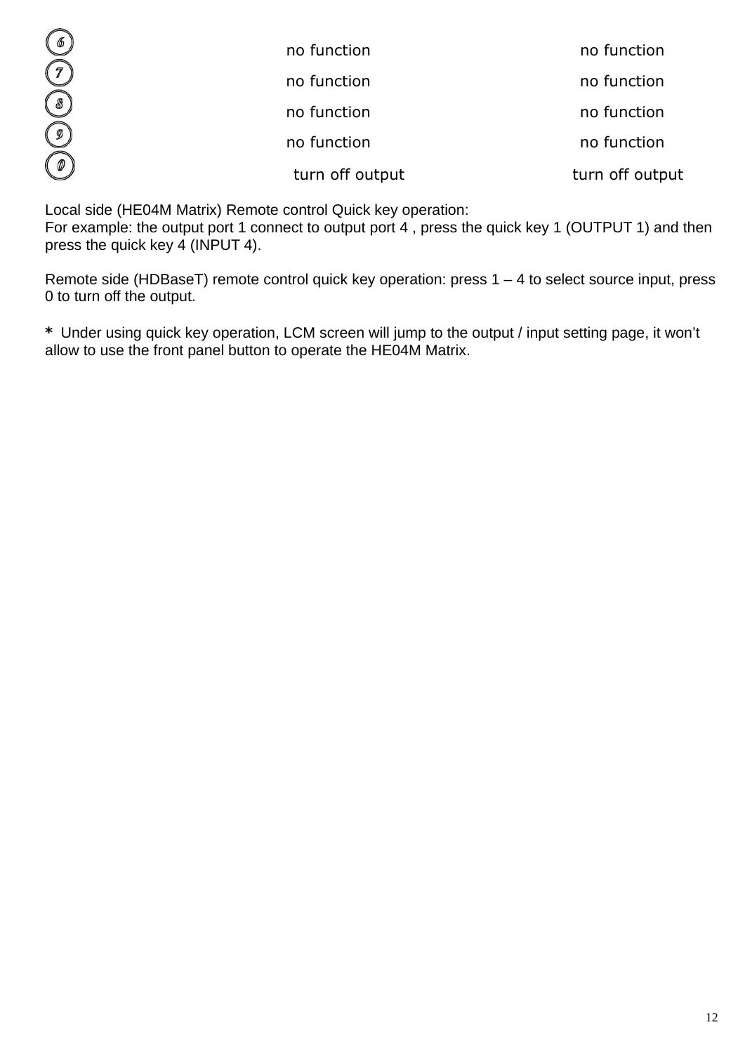| $\bigcirc$           | no function     | no function     |
|----------------------|-----------------|-----------------|
| $\widehat{(\imath)}$ | no function     | no function     |
| $\circledS$          | no function     | no function     |
| $\circlede$          | no function     | no function     |
| $\bigcirc$           | turn off output | turn off output |

Local side (HE04M Matrix) Remote control Quick key operation:

For example: the output port 1 connect to output port 4 , press the quick key 1 (OUTPUT 1) and then press the quick key 4 (INPUT 4).

Remote side (HDBaseT) remote control quick key operation: press 1 – 4 to select source input, press 0 to turn off the output.

**\*** Under using quick key operation, LCM screen will jump to the output / input setting page, it won't allow to use the front panel button to operate the HE04M Matrix.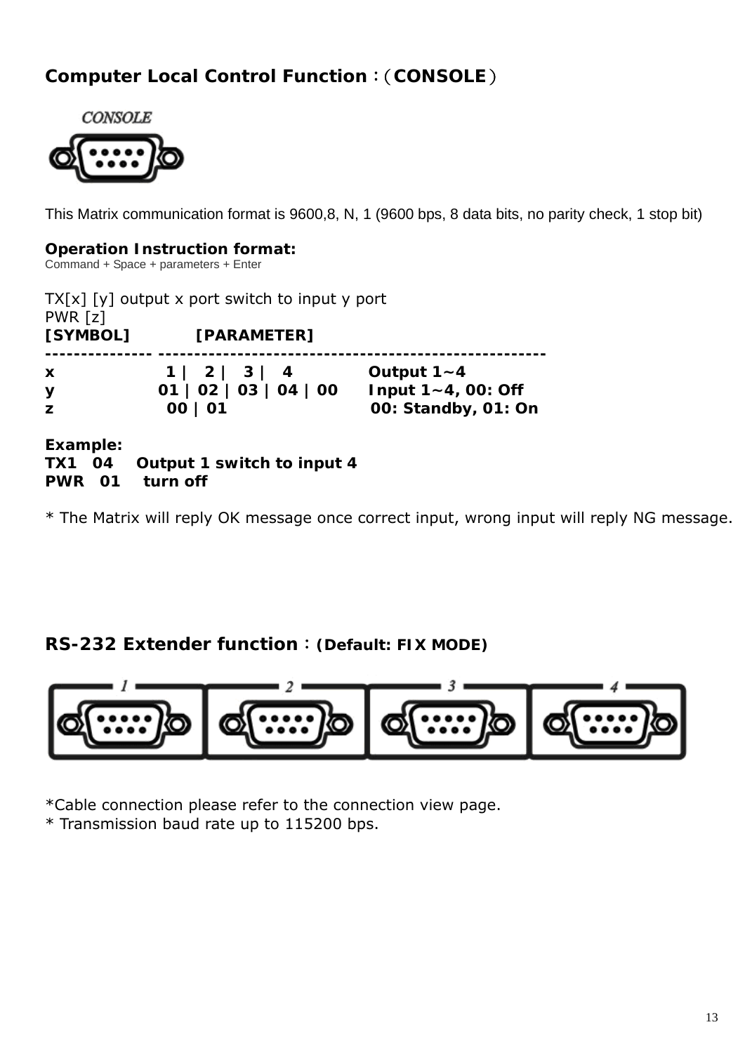## **Computer Local Control Function**:(**CONSOLE**)



This Matrix communication format is 9600,8, N, 1 (9600 bps, 8 data bits, no parity check, 1 stop bit)

#### **Operation Instruction format:**

Command + Space + parameters + Enter

| PWR [z]     | $TX[x] [y]$ output x port switch to input y port |                         |
|-------------|--------------------------------------------------|-------------------------|
| [SYMBOL]    | [PARAMETER]                                      |                         |
| X           | $1 \mid 2 \mid 3 \mid 4$                         | Output $1 - 4$          |
| У           | 01   02   03   04   00                           | Input $1 - 4$ , 00: Off |
| z           | 00   01                                          | 00: Standby, 01: On     |
| Foreman Leo |                                                  |                         |

**Example:** 

|  | TX1 04 Output 1 switch to input 4 |
|--|-----------------------------------|
|  | PWR 01 turn off                   |

\* The Matrix will reply OK message once correct input, wrong input will reply NG message.

## **RS-232 Extender function**:**(Default: FIX MODE)**



\*Cable connection please refer to the connection view page. \* Transmission baud rate up to 115200 bps.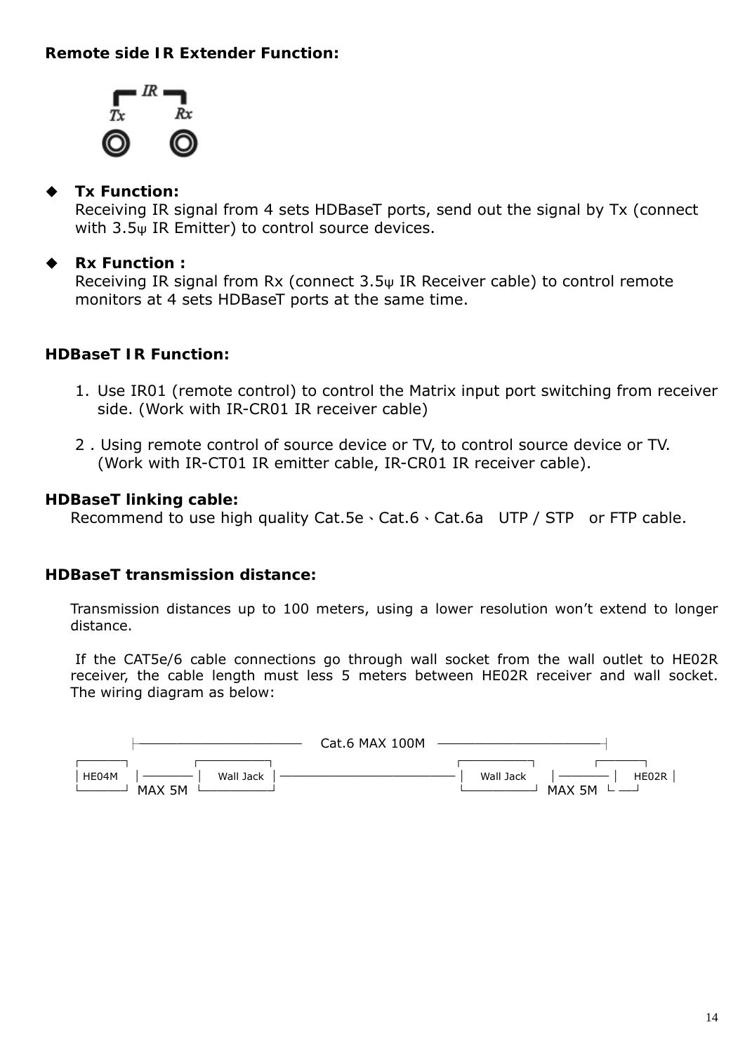### **Remote side IR Extender Function:**



#### **Tx Function:**

Receiving IR signal from 4 sets HDBaseT ports, send out the signal by Tx (connect with 3.5ψ IR Emitter) to control source devices.

#### **Rx Function :**

Receiving IR signal from Rx (connect 3.5ψ IR Receiver cable) to control remote monitors at 4 sets HDBaseT ports at the same time.

#### **HDBaseT IR Function:**

- 1. Use IR01 (remote control) to control the Matrix input port switching from receiver side. (Work with IR-CR01 IR receiver cable)
- 2 . Using remote control of source device or TV, to control source device or TV. (Work with IR-CT01 IR emitter cable, IR-CR01 IR receiver cable).

#### **HDBaseT linking cable:**

Recommend to use high quality Cat.5e、Cat.6、Cat.6a UTP / STP or FTP cable.

#### **HDBaseT transmission distance:**

Transmission distances up to 100 meters, using a lower resolution won't extend to longer distance.

If the CAT5e/6 cable connections go through wall socket from the wall outlet to HE02R receiver, the cable length must less 5 meters between HE02R receiver and wall socket. The wiring diagram as below:

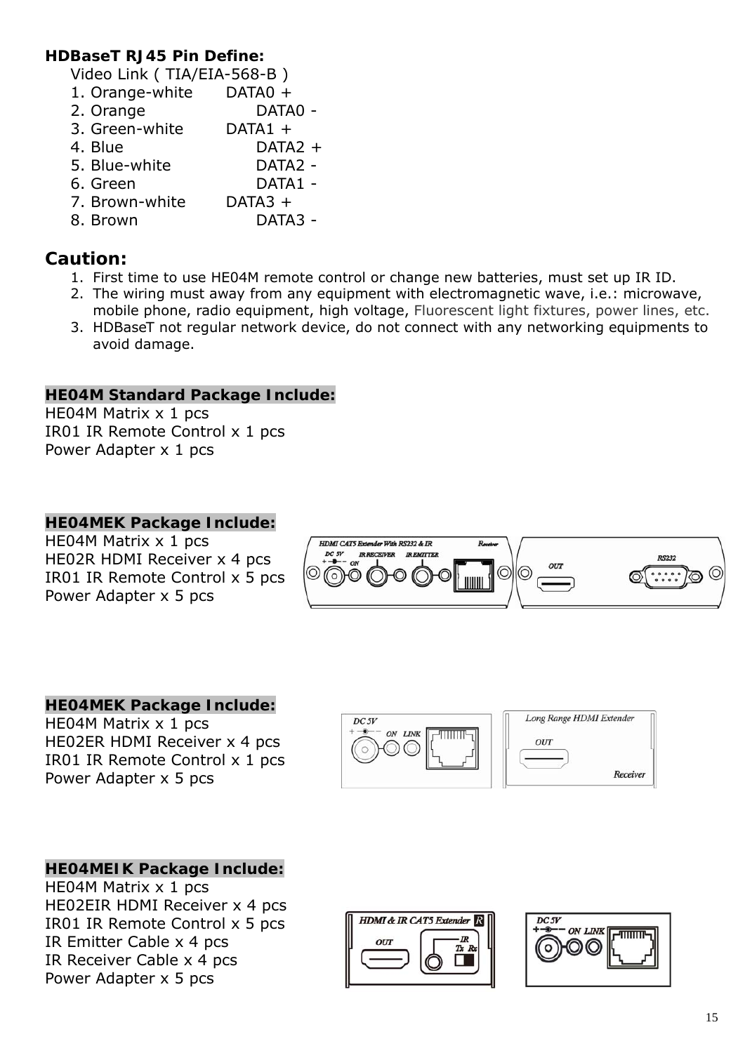#### **HDBaseT RJ45 Pin Define:**

Video Link ( TIA/EIA-568-B )

1. Orange-white DATA0 + 2. Orange DATA0 - 3. Green-white DATA1 + 4. Blue DATA2 + 5. Blue-white DATA2 - 6. Green DATA1 - 7. Brown-white DATA3 + 8. Brown DATA3 -

## **Caution:**

- 1. First time to use HE04M remote control or change new batteries, must set up IR ID.
- 2. The wiring must away from any equipment with electromagnetic wave, i.e.: microwave, mobile phone, radio equipment, high voltage, Fluorescent light fixtures, power lines, etc.
- 3. HDBaseT not regular network device, do not connect with any networking equipments to avoid damage.

#### **HE04M Standard Package Include:**

HE04M Matrix x 1 pcs IR01 IR Remote Control x 1 pcs Power Adapter x 1 pcs

#### **HE04MEK Package Include:**

HE04M Matrix x 1 pcs HE02R HDMI Receiver x 4 pcs IR01 IR Remote Control x 5 pcs Power Adapter x 5 pcs



### **HE04MEK Package Include:**

HE04M Matrix x 1 pcs HE02ER HDMI Receiver x 4 pcs IR01 IR Remote Control x 1 pcs Power Adapter x 5 pcs



**HE04MEIK Package Include:**  HE04M Matrix x 1 pcs HE02EIR HDMI Receiver x 4 pcs IR01 IR Remote Control x 5 pcs IR Emitter Cable x 4 pcs IR Receiver Cable x 4 pcs Power Adapter x 5 pcs